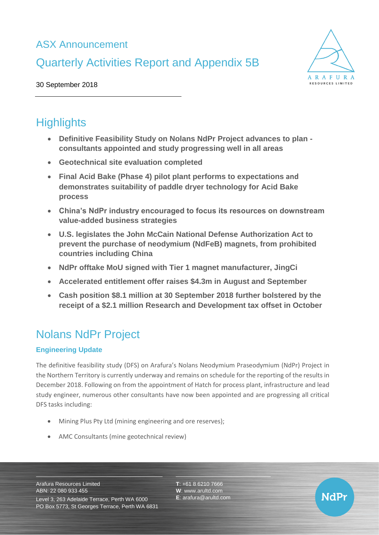## ASX Announcement

# Quarterly Activities Report and Appendix 5B



**NdPr** 

30 September 2018

# **Highlights**

- **Definitive Feasibility Study on Nolans NdPr Project advances to plan consultants appointed and study progressing well in all areas**
- **Geotechnical site evaluation completed**
- **Final Acid Bake (Phase 4) pilot plant performs to expectations and demonstrates suitability of paddle dryer technology for Acid Bake process**
- **China's NdPr industry encouraged to focus its resources on downstream value-added business strategies**
- **U.S. legislates the John McCain National Defense Authorization Act to prevent the purchase of neodymium (NdFeB) magnets, from prohibited countries including China**
- **NdPr offtake MoU signed with Tier 1 magnet manufacturer, JingCi**
- **Accelerated entitlement offer raises \$4.3m in August and September**
- **Cash position \$8.1 million at 30 September 2018 further bolstered by the receipt of a \$2.1 million Research and Development tax offset in October**

# Nolans NdPr Project

## **Engineering Update**

The definitive feasibility study (DFS) on Arafura's Nolans Neodymium Praseodymium (NdPr) Project in the Northern Territory is currently underway and remains on schedule for the reporting of the results in December 2018. Following on from the appointment of Hatch for process plant, infrastructure and lead study engineer, numerous other consultants have now been appointed and are progressing all critical DFS tasks including:

- Mining Plus Pty Ltd (mining engineering and ore reserves);
- AMC Consultants (mine geotechnical review)

Arafura Resources Limited ABN: 22 080 933 455

Level 3, 263 Adelaide Terrace, Perth WA 6000 PO Box 5773, St Georges Terrace, Perth WA 6831 **T**: +61 8 6210 7666 **W**: [www.arultd.com](http://www.arultd.com/) **E**: [arafura@arultd.com](mailto:arafura@arultd.com)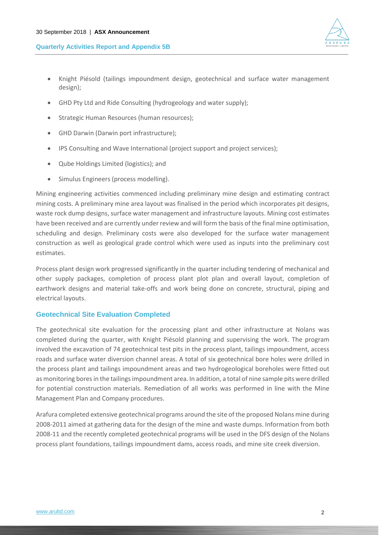

- Knight Piésold (tailings impoundment design, geotechnical and surface water management design);
- GHD Pty Ltd and Ride Consulting (hydrogeology and water supply);
- Strategic Human Resources (human resources);
- GHD Darwin (Darwin port infrastructure);
- IPS Consulting and Wave International (project support and project services);
- Qube Holdings Limited (logistics); and
- Simulus Engineers (process modelling).

Mining engineering activities commenced including preliminary mine design and estimating contract mining costs. A preliminary mine area layout was finalised in the period which incorporates pit designs, waste rock dump designs, surface water management and infrastructure layouts. Mining cost estimates have been received and are currently under review and will form the basis of the final mine optimisation, scheduling and design. Preliminary costs were also developed for the surface water management construction as well as geological grade control which were used as inputs into the preliminary cost estimates.

Process plant design work progressed significantly in the quarter including tendering of mechanical and other supply packages, completion of process plant plot plan and overall layout, completion of earthwork designs and material take-offs and work being done on concrete, structural, piping and electrical layouts.

### **Geotechnical Site Evaluation Completed**

The geotechnical site evaluation for the processing plant and other infrastructure at Nolans was completed during the quarter, with Knight Piésold planning and supervising the work. The program involved the excavation of 74 geotechnical test pits in the process plant, tailings impoundment, access roads and surface water diversion channel areas. A total of six geotechnical bore holes were drilled in the process plant and tailings impoundment areas and two hydrogeological boreholes were fitted out as monitoring bores in the tailings impoundment area. In addition, a total of nine sample pits were drilled for potential construction materials. Remediation of all works was performed in line with the Mine Management Plan and Company procedures.

Arafura completed extensive geotechnical programs around the site of the proposed Nolans mine during 2008-2011 aimed at gathering data for the design of the mine and waste dumps. Information from both 2008-11 and the recently completed geotechnical programs will be used in the DFS design of the Nolans process plant foundations, tailings impoundment dams, access roads, and mine site creek diversion.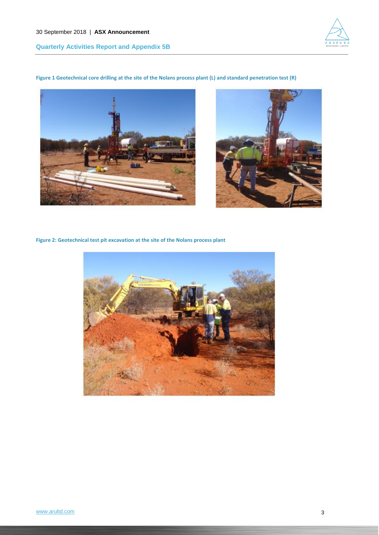

## **Figure 1 Geotechnical core drilling at the site of the Nolans process plant (L) and standard penetration test (R)**





**Figure 2: Geotechnical test pit excavation at the site of the Nolans process plant**

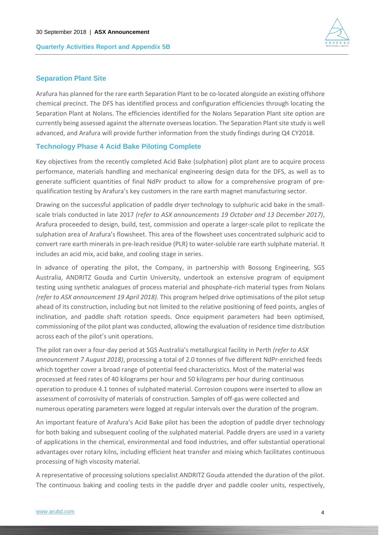

#### **Separation Plant Site**

Arafura has planned for the rare earth Separation Plant to be co-located alongside an existing offshore chemical precinct. The DFS has identified process and configuration efficiencies through locating the Separation Plant at Nolans. The efficiencies identified for the Nolans Separation Plant site option are currently being assessed against the alternate overseas location. The Separation Plant site study is well advanced, and Arafura will provide further information from the study findings during Q4 CY2018.

#### **Technology Phase 4 Acid Bake Piloting Complete**

Key objectives from the recently completed Acid Bake (sulphation) pilot plant are to acquire process performance, materials handling and mechanical engineering design data for the DFS, as well as to generate sufficient quantities of final NdPr product to allow for a comprehensive program of prequalification testing by Arafura's key customers in the rare earth magnet manufacturing sector.

Drawing on the successful application of paddle dryer technology to sulphuric acid bake in the smallscale trials conducted in late 2017 *(refer to ASX announcements 19 October and 13 December 2017)*, Arafura proceeded to design, build, test, commission and operate a larger-scale pilot to replicate the sulphation area of Arafura's flowsheet. This area of the flowsheet uses concentrated sulphuric acid to convert rare earth minerals in pre-leach residue (PLR) to water-soluble rare earth sulphate material. It includes an acid mix, acid bake, and cooling stage in series.

In advance of operating the pilot, the Company, in partnership with Bossong Engineering, SGS Australia, ANDRITZ Gouda and Curtin University, undertook an extensive program of equipment testing using synthetic analogues of process material and phosphate-rich material types from Nolans *(refer to ASX announcement 19 April 2018)*. This program helped drive optimisations of the pilot setup ahead of its construction, including but not limited to the relative positioning of feed points, angles of inclination, and paddle shaft rotation speeds. Once equipment parameters had been optimised, commissioning of the pilot plant was conducted, allowing the evaluation of residence time distribution across each of the pilot's unit operations.

The pilot ran over a four-day period at SGS Australia's metallurgical facility in Perth *(refer to ASX announcement 7 August 2018)*, processing a total of 2.0 tonnes of five different NdPr-enriched feeds which together cover a broad range of potential feed characteristics. Most of the material was processed at feed rates of 40 kilograms per hour and 50 kilograms per hour during continuous operation to produce 4.1 tonnes of sulphated material. Corrosion coupons were inserted to allow an assessment of corrosivity of materials of construction. Samples of off-gas were collected and numerous operating parameters were logged at regular intervals over the duration of the program.

An important feature of Arafura's Acid Bake pilot has been the adoption of paddle dryer technology for both baking and subsequent cooling of the sulphated material. Paddle dryers are used in a variety of applications in the chemical, environmental and food industries, and offer substantial operational advantages over rotary kilns, including efficient heat transfer and mixing which facilitates continuous processing of high viscosity material.

A representative of processing solutions specialist ANDRITZ Gouda attended the duration of the pilot. The continuous baking and cooling tests in the paddle dryer and paddle cooler units, respectively,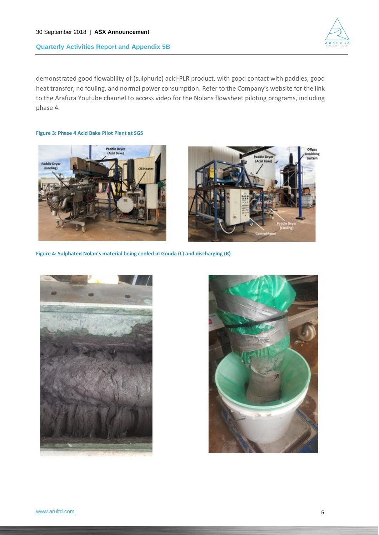

demonstrated good flowability of (sulphuric) acid-PLR product, with good contact with paddles, good heat transfer, no fouling, and normal power consumption. Refer to the Company's website for the link to the Arafura Youtube channel to access video for the Nolans flowsheet piloting programs, including phase 4.

**Figure 3: Phase 4 Acid Bake Pilot Plant at SGS** 





**Figure 4: Sulphated Nolan's material being cooled in Gouda (L) and discharging (R)**



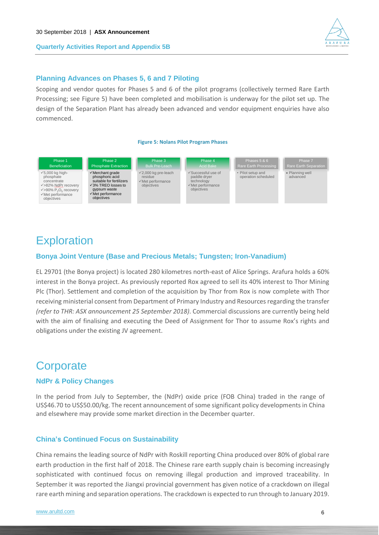

## **Planning Advances on Phases 5, 6 and 7 Piloting**

Scoping and vendor quotes for Phases 5 and 6 of the pilot programs (collectively termed Rare Earth Processing; see Figure 5) have been completed and mobilisation is underway for the pilot set up. The design of the Separation Plant has already been advanced and vendor equipment enquiries have also commenced.

#### **Figure 5: Nolans Pilot Program Phases**



## **Exploration**

## **Bonya Joint Venture (Base and Precious Metals; Tungsten; Iron-Vanadium)**

EL 29701 (the Bonya project) is located 280 kilometres north-east of Alice Springs. Arafura holds a 60% interest in the Bonya project. As previously reported Rox agreed to sell its 40% interest to Thor Mining Plc (Thor). Settlement and completion of the acquisition by Thor from Rox is now complete with Thor receiving ministerial consent from Department of Primary Industry and Resourcesregarding the transfer *(refer to THR: ASX announcement 25 September 2018)*. Commercial discussions are currently being held with the aim of finalising and executing the Deed of Assignment for Thor to assume Rox's rights and obligations under the existing JV agreement.

## **Corporate**

## **NdPr & Policy Changes**

In the period from July to September, the (NdPr) oxide price (FOB China) traded in the range of US\$46.70 to US\$50.00/kg. The recent announcement of some significant policy developmentsin China and elsewhere may provide some market direction in the December quarter.

## **China's Continued Focus on Sustainability**

China remains the leading source of NdPr with Roskill reporting China produced over 80% of global rare earth production in the first half of 2018. The Chinese rare earth supply chain is becoming increasingly sophisticated with continued focus on removing illegal production and improved traceability. In September it was reported the Jiangxi provincial government has given notice of a crackdown on illegal rare earth mining and separation operations. The crackdown is expected to run through to January 2019.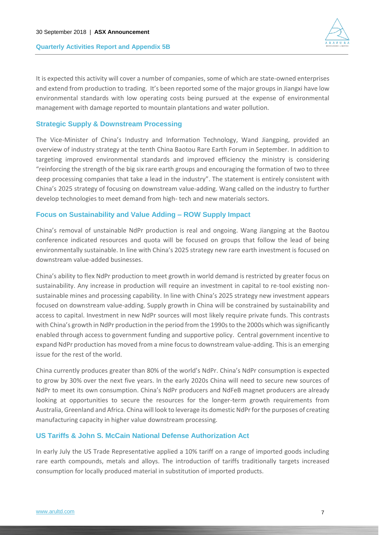

It is expected this activity will cover a number of companies, some of which are state-owned enterprises and extend from production to trading. It's been reported some of the major groups in Jiangxi have low environmental standards with low operating costs being pursued at the expense of environmental management with damage reported to mountain plantations and water pollution.

## **Strategic Supply & Downstream Processing**

The Vice-Minister of China's Industry and Information Technology, Wand Jiangping, provided an overview of industry strategy at the tenth China Baotou Rare Earth Forum in September. In addition to targeting improved environmental standards and improved efficiency the ministry is considering "reinforcing the strength of the big six rare earth groups and encouraging the formation of two to three deep processing companies that take a lead in the industry". The statement is entirely consistent with China's 2025 strategy of focusing on downstream value-adding. Wang called on the industry to further develop technologies to meet demand from high- tech and new materials sectors.

## **Focus on Sustainability and Value Adding – ROW Supply Impact**

China's removal of unstainable NdPr production is real and ongoing. Wang Jiangping at the Baotou conference indicated resources and quota will be focused on groups that follow the lead of being environmentally sustainable. In line with China's 2025 strategy new rare earth investment is focused on downstream value-added businesses.

China's ability to flex NdPr production to meet growth in world demand is restricted by greater focus on sustainability. Any increase in production will require an investment in capital to re-tool existing nonsustainable mines and processing capability. In line with China's 2025 strategy new investment appears focused on downstream value-adding. Supply growth in China will be constrained by sustainability and access to capital. Investment in new NdPr sources will most likely require private funds. This contrasts with China's growth in NdPr production in the period from the 1990s to the 2000s which was significantly enabled through access to government funding and supportive policy. Central government incentive to expand NdPr production has moved from a mine focus to downstream value-adding. This is an emerging issue for the rest of the world.

China currently produces greater than 80% of the world's NdPr. China's NdPr consumption is expected to grow by 30% over the next five years. In the early 2020s China will need to secure new sources of NdPr to meet its own consumption. China's NdPr producers and NdFeB magnet producers are already looking at opportunities to secure the resources for the longer-term growth requirements from Australia, Greenland and Africa. China will look to leverage its domestic NdPr for the purposes of creating manufacturing capacity in higher value downstream processing.

## **US Tariffs & John S. McCain National Defense Authorization Act**

In early July the US Trade Representative applied a 10% tariff on a range of imported goods including rare earth compounds, metals and alloys. The introduction of tariffs traditionally targets increased consumption for locally produced material in substitution of imported products.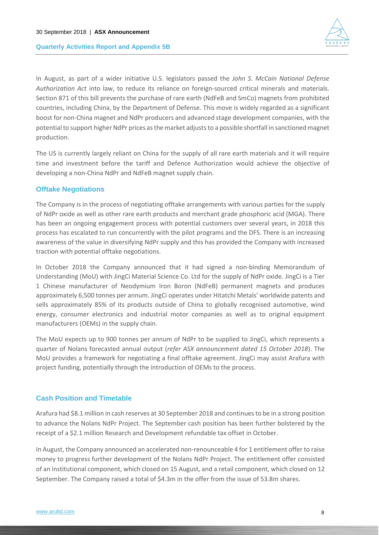

In August, as part of a wider initiative U.S. legislators passed the *John S. McCain National Defense Authorization Act* into law, to reduce its reliance on foreign-sourced critical minerals and materials. Section 871 of this bill prevents the purchase of rare earth (NdFeB and SmCo) magnets from prohibited countries, including China, by the Department of Defense. This move is widely regarded as a significant boost for non-China magnet and NdPr producers and advanced stage development companies, with the potential to support higher NdPr prices as the market adjusts to a possible shortfall in sanctioned magnet production.

The US is currently largely reliant on China for the supply of all rare earth materials and it will require time and investment before the tariff and Defence Authorization would achieve the objective of developing a non-China NdPr and NdFeB magnet supply chain.

### **Offtake Negotiations**

The Company is in the process of negotiating offtake arrangements with various parties for the supply of NdPr oxide as well as other rare earth products and merchant grade phosphoric acid (MGA). There has been an ongoing engagement process with potential customers over several years, in 2018 this process has escalated to run concurrently with the pilot programs and the DFS. There is an increasing awareness of the value in diversifying NdPr supply and this has provided the Company with increased traction with potential offtake negotiations.

In October 2018 the Company announced that it had signed a non-binding Memorandum of Understanding (MoU) with JingCi Material Science Co. Ltd for the supply of NdPr oxide. JingCi is a Tier 1 Chinese manufacturer of Neodymium Iron Boron (NdFeB) permanent magnets and produces approximately 6,500 tonnes per annum. JingCi operates under Hitatchi Metals' worldwide patents and sells approximately 85% of its products outside of China to globally recognised automotive, wind energy, consumer electronics and industrial motor companies as well as to original equipment manufacturers (OEMs) in the supply chain.

The MoU expects up to 900 tonnes per annum of NdPr to be supplied to JingCi, which represents a quarter of Nolans forecasted annual output (*refer ASX announcement dated 15 October 2018*). The MoU provides a framework for negotiating a final offtake agreement. JingCi may assist Arafura with project funding, potentially through the introduction of OEMs to the process.

### **Cash Position and Timetable**

Arafura had \$8.1 million in cash reserves at 30 September 2018 and continues to be in a strong position to advance the Nolans NdPr Project. The September cash position has been further bolstered by the receipt of a \$2.1 million Research and Development refundable tax offset in October.

In August, the Company announced an accelerated non-renounceable 4 for 1 entitlement offer to raise money to progress further development of the Nolans NdPr Project. The entitlement offer consisted of an institutional component, which closed on 15 August, and a retail component, which closed on 12 September. The Company raised a total of \$4.3m in the offer from the issue of 53.8m shares.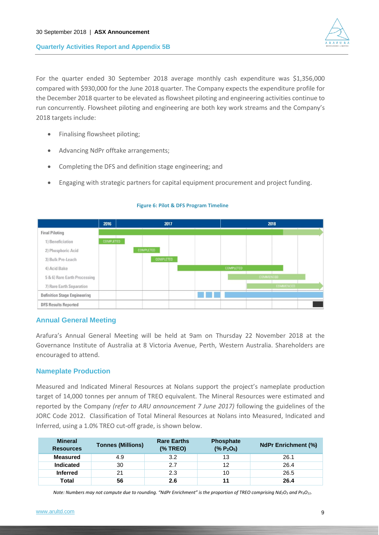

For the quarter ended 30 September 2018 average monthly cash expenditure was \$1,356,000 compared with \$930,000 for the June 2018 quarter. The Company expects the expenditure profile for the December 2018 quarter to be elevated as flowsheet piloting and engineering activities continue to run concurrently. Flowsheet piloting and engineering are both key work streams and the Company's 2018 targets include:

- Finalising flowsheet piloting;
- Advancing NdPr offtake arrangements;
- Completing the DFS and definition stage engineering; and
- Engaging with strategic partners for capital equipment procurement and project funding.

|                                     | 2016             | 2017             |  |                  | 2018             |                  |  |
|-------------------------------------|------------------|------------------|--|------------------|------------------|------------------|--|
| <b>Final Piloting</b>               |                  |                  |  |                  |                  |                  |  |
| 1) Beneficiation                    | <b>COMPLETED</b> |                  |  |                  |                  |                  |  |
| 2) Phosphoric Acid                  |                  | <b>COMPLETED</b> |  |                  |                  |                  |  |
| 3) Bulk Pre-Leach                   |                  | COMPLETED        |  |                  |                  |                  |  |
| 4) Acid Bake                        |                  |                  |  | <b>COMPLETED</b> |                  |                  |  |
| 5 & 6) Rare Earth Processing        |                  |                  |  |                  | <b>COMMENCED</b> |                  |  |
| 7) Rare Earth Separation            |                  |                  |  |                  |                  | <b>COMMENCED</b> |  |
| <b>Definition Stage Engineering</b> |                  |                  |  |                  |                  |                  |  |
| <b>DFS Results Reported</b>         |                  |                  |  |                  |                  |                  |  |

#### **Figure 6: Pilot & DFS Program Timeline**

### **Annual General Meeting**

Arafura's Annual General Meeting will be held at 9am on Thursday 22 November 2018 at the Governance Institute of Australia at 8 Victoria Avenue, Perth, Western Australia. Shareholders are encouraged to attend.

### **Nameplate Production**

Measured and Indicated Mineral Resources at Nolans support the project's nameplate production target of 14,000 tonnes per annum of TREO equivalent. The Mineral Resources were estimated and reported by the Company *(refer to ARU announcement 7 June 2017)* following the guidelines of the JORC Code 2012. Classification of Total Mineral Resources at Nolans into Measured, Indicated and Inferred, using a 1.0% TREO cut-off grade, is shown below.

| <b>Mineral</b><br><b>Resources</b> | <b>Tonnes (Millions)</b> | <b>Rare Earths</b><br>(% TREO) | <b>Phosphate</b><br>(% P <sub>2</sub> O <sub>5</sub> ) | <b>NdPr Enrichment (%)</b> |
|------------------------------------|--------------------------|--------------------------------|--------------------------------------------------------|----------------------------|
| Measured                           | 4.9                      | 3.2                            | 13                                                     | 26.1                       |
| <b>Indicated</b>                   | 30                       | 2.7                            | 12                                                     | 26.4                       |
| <b>Inferred</b>                    | 21                       | 2.3                            | 10                                                     | 26.5                       |
| <b>Total</b>                       | 56                       | 2.6                            | 11                                                     | 26.4                       |

*Note: Numbers may not compute due to rounding. "NdPr Enrichment" is the proportion of TREO comprising Nd<sub>2</sub>O<sub>3</sub> and Pr<sub>6</sub>O<sub>11</sub>.*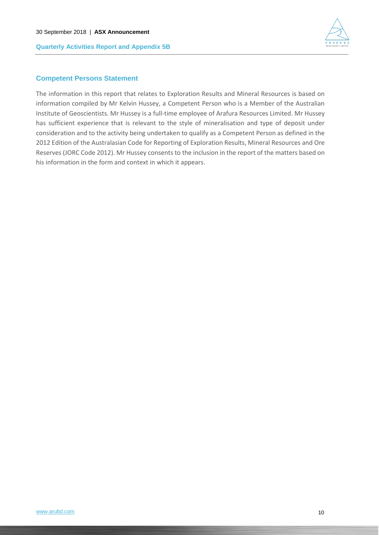

### **Competent Persons Statement**

The information in this report that relates to Exploration Results and Mineral Resources is based on information compiled by Mr Kelvin Hussey, a Competent Person who is a Member of the Australian Institute of Geoscientists. Mr Hussey is a full-time employee of Arafura Resources Limited. Mr Hussey has sufficient experience that is relevant to the style of mineralisation and type of deposit under consideration and to the activity being undertaken to qualify as a Competent Person as defined in the 2012 Edition of the Australasian Code for Reporting of Exploration Results, Mineral Resources and Ore Reserves (JORC Code 2012). Mr Hussey consents to the inclusion in the report of the matters based on his information in the form and context in which it appears.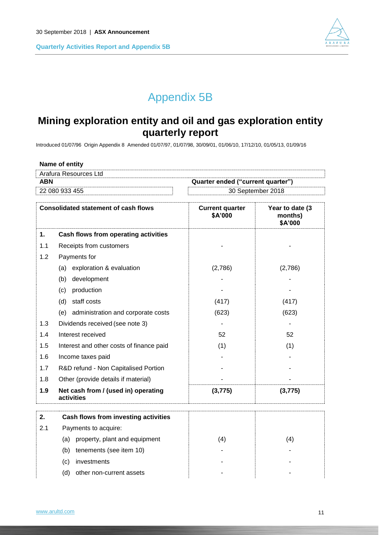

# Appendix 5B

## **Mining exploration entity and oil and gas exploration entity quarterly report**

Introduced 01/07/96 Origin Appendix 8 Amended 01/07/97, 01/07/98, 30/09/01, 01/06/10, 17/12/10, 01/05/13, 01/09/16

| Name of entity                      |                                                   |                                   |                                        |  |  |
|-------------------------------------|---------------------------------------------------|-----------------------------------|----------------------------------------|--|--|
|                                     | Arafura Resources Ltd                             |                                   |                                        |  |  |
| <b>ABN</b>                          |                                                   | Quarter ended ("current quarter") |                                        |  |  |
| 30 September 2018<br>22 080 933 455 |                                                   |                                   |                                        |  |  |
|                                     | <b>Consolidated statement of cash flows</b>       | <b>Current quarter</b><br>\$A'000 | Year to date (3)<br>months)<br>\$A'000 |  |  |
| 1.                                  | Cash flows from operating activities              |                                   |                                        |  |  |
| 1.1                                 | Receipts from customers                           |                                   |                                        |  |  |
| 1.2                                 | Payments for                                      |                                   |                                        |  |  |
|                                     | exploration & evaluation<br>(a)                   | (2,786)                           | (2,786)                                |  |  |
|                                     | (b)<br>development                                |                                   |                                        |  |  |
|                                     | production<br>(c)                                 |                                   |                                        |  |  |
|                                     | (d) staff costs                                   | (417)                             | (417)                                  |  |  |
|                                     | (e) administration and corporate costs            | (623)                             | (623)                                  |  |  |
| 1.3                                 | Dividends received (see note 3)                   |                                   |                                        |  |  |
| 1.4                                 | Interest received                                 | 52                                | 52                                     |  |  |
| 1.5                                 | Interest and other costs of finance paid          | (1)                               | (1)                                    |  |  |
| 1.6                                 | Income taxes paid                                 |                                   |                                        |  |  |
| 1.7                                 | R&D refund - Non Capitalised Portion              |                                   |                                        |  |  |
| 1.8                                 | Other (provide details if material)               |                                   |                                        |  |  |
| 1.9                                 | Net cash from / (used in) operating<br>activities | (3, 775)                          | (3, 775)                               |  |  |
| 2.                                  | Cash flows from investing activities              |                                   |                                        |  |  |
| 2.1                                 | Payments to acquire:                              |                                   |                                        |  |  |
|                                     | property, plant and equipment<br>(a)              | (4)                               | (4)                                    |  |  |
|                                     | tenements (see item 10)<br>(b)                    |                                   |                                        |  |  |
|                                     | investments<br>(c)                                |                                   |                                        |  |  |
|                                     | (d)<br>other non-current assets                   |                                   |                                        |  |  |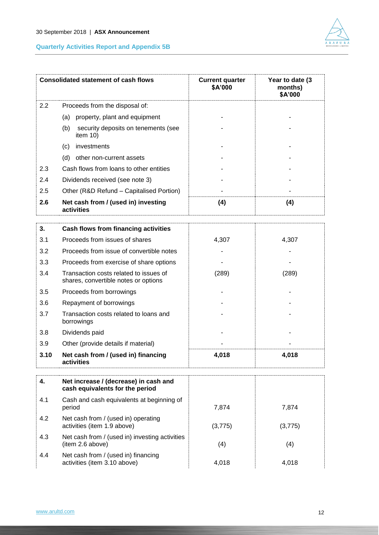

|      | <b>Consolidated statement of cash flows</b>                                    | <b>Current quarter</b><br>\$A'000 | Year to date (3)<br>months)<br>\$A'000 |
|------|--------------------------------------------------------------------------------|-----------------------------------|----------------------------------------|
| 2.2  | Proceeds from the disposal of:                                                 |                                   |                                        |
|      | property, plant and equipment<br>(a)                                           |                                   |                                        |
|      | (b)<br>security deposits on tenements (see<br>item 10)                         |                                   |                                        |
|      | investments<br>(c)                                                             |                                   |                                        |
|      | (d)<br>other non-current assets                                                |                                   |                                        |
| 2.3  | Cash flows from loans to other entities                                        |                                   |                                        |
| 2.4  | Dividends received (see note 3)                                                |                                   |                                        |
| 2.5  | Other (R&D Refund - Capitalised Portion)                                       |                                   |                                        |
| 2.6  | Net cash from / (used in) investing<br>activities                              | (4)                               | (4)                                    |
| 3.   | Cash flows from financing activities                                           |                                   |                                        |
| 3.1  | Proceeds from issues of shares                                                 | 4,307                             | 4,307                                  |
| 3.2  | Proceeds from issue of convertible notes                                       |                                   |                                        |
| 3.3  | Proceeds from exercise of share options                                        |                                   |                                        |
| 3.4  | Transaction costs related to issues of<br>shares, convertible notes or options | (289)                             | (289)                                  |
| 3.5  | Proceeds from borrowings                                                       |                                   |                                        |
| 3.6  | Repayment of borrowings                                                        |                                   |                                        |
| 3.7  | Transaction costs related to loans and<br>borrowings                           |                                   |                                        |
| 3.8  | Dividends paid                                                                 |                                   |                                        |
| 3.9  | Other (provide details if material)                                            |                                   |                                        |
| 3.10 | Net cash from / (used in) financing<br>activities                              | 4,018                             | 4,018                                  |
| 4.   | Net increase / (decrease) in cash and<br>cash equivalents for the period       |                                   |                                        |
| 4.1  | Cash and cash equivalents at beginning of<br>period                            | 7,874                             | 7,874                                  |
| 4.2  | Net cash from / (used in) operating<br>activities (item 1.9 above)             | (3,775)                           | (3,775)                                |
| 4.3  | Net cash from / (used in) investing activities<br>(item 2.6 above)             | (4)                               | (4)                                    |
| 4.4  | Net cash from / (used in) financing<br>activities (item 3.10 above)            | 4,018                             | 4,018                                  |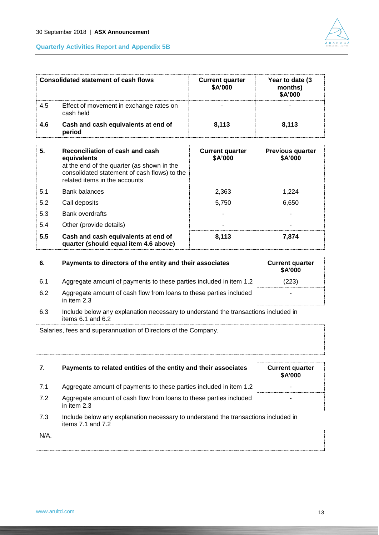

| <b>Consolidated statement of cash flows</b> |                                                                                                                                                                               | <b>Current quarter</b><br>\$A'000 | Year to date (3)<br>months)<br>\$A'000 |
|---------------------------------------------|-------------------------------------------------------------------------------------------------------------------------------------------------------------------------------|-----------------------------------|----------------------------------------|
| 4.5                                         | Effect of movement in exchange rates on<br>cash held                                                                                                                          |                                   |                                        |
| 4.6                                         | Cash and cash equivalents at end of<br>period                                                                                                                                 | 8,113                             | 8,113                                  |
| 5.                                          | Reconciliation of cash and cash<br>equivalents<br>at the end of the quarter (as shown in the<br>consolidated statement of cash flows) to the<br>rolated items in the accounts | <b>Current quarter</b><br>\$A'000 | <b>Previous quarter</b><br>\$A'000     |

|     | related items in the accounts                                                |       |       |
|-----|------------------------------------------------------------------------------|-------|-------|
| 5.1 | <b>Bank balances</b>                                                         | 2.363 | 1.224 |
| 5.2 | Call deposits                                                                | 5.750 | 6,650 |
| 5.3 | <b>Bank overdrafts</b>                                                       |       |       |
| 5.4 | Other (provide details)                                                      |       |       |
| 5.5 | Cash and cash equivalents at end of<br>quarter (should equal item 4.6 above) | 8,113 | 7.874 |

| 6.  | Payments to directors of the entity and their associates                          | <b>Current quarter</b><br><b>\$A'000</b> |
|-----|-----------------------------------------------------------------------------------|------------------------------------------|
| 6.1 | Aggregate amount of payments to these parties included in item 1.2                | (223)                                    |
| 6.2 | Aggregate amount of cash flow from loans to these parties included<br>in item 2.3 | ۰                                        |

| 6.3 | Include below any explanation necessary to understand the transactions included in |
|-----|------------------------------------------------------------------------------------|
|     | items 6.1 and 6.2                                                                  |

Salaries, fees and superannuation of Directors of the Company.

| 7.      | Payments to related entities of the entity and their associates                                             | <b>Current quarter</b><br><b>\$A'000</b> |
|---------|-------------------------------------------------------------------------------------------------------------|------------------------------------------|
| 7.1     | Aggregate amount of payments to these parties included in item 1.2                                          |                                          |
| 7.2     | Aggregate amount of cash flow from loans to these parties included<br>in item $2.3$                         |                                          |
| 7.3     | Include below any explanation necessary to understand the transactions included in<br>items $7.1$ and $7.2$ |                                          |
| $N/A$ . |                                                                                                             |                                          |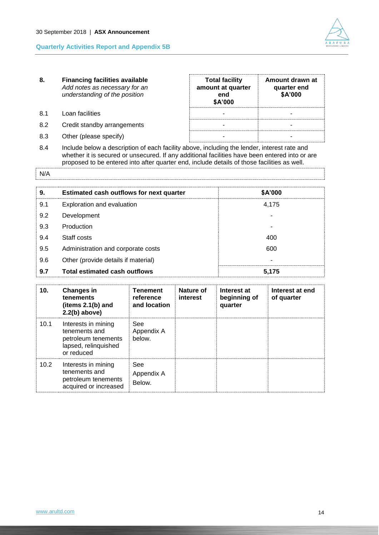

| 8.        | <b>Financing facilities available</b><br>Add notes as necessary for an<br>understanding of the position | <b>Total facility</b><br>amount at quarter<br>end<br>\$A'000 | Amount drawn at<br>quarter end<br>\$A'000 |
|-----------|---------------------------------------------------------------------------------------------------------|--------------------------------------------------------------|-------------------------------------------|
| <b>81</b> | Loan facilities                                                                                         |                                                              |                                           |
| 8.2       | Credit standby arrangements                                                                             |                                                              |                                           |
| 8.3       | Other (please specify)                                                                                  |                                                              |                                           |

8.4 Include below a description of each facility above, including the lender, interest rate and whether it is secured or unsecured. If any additional facilities have been entered into or are proposed to be entered into after quarter end, include details of those facilities as well.

N/A

| 9.  | <b>Estimated cash outflows for next quarter</b> | \$A'000 |
|-----|-------------------------------------------------|---------|
| 9.1 | Exploration and evaluation                      | 4.175   |
| 9.2 | Development                                     |         |
| 9.3 | Production                                      |         |
| 9.4 | Staff costs                                     | 400     |
| 9.5 | Administration and corporate costs              | 600     |
| 9.6 | Other (provide details if material)             |         |
| 9.7 | Total estimated cash outflows                   | 5.175   |

| 10.  | <b>Changes in</b><br><b>tenements</b><br>(items $2.1(b)$ and<br>$2.2(b)$ above)                   | <b>Tenement</b><br>reference<br>and location | Nature of<br>interest | Interest at<br>beginning of<br>quarter | Interest at end<br>of quarter |
|------|---------------------------------------------------------------------------------------------------|----------------------------------------------|-----------------------|----------------------------------------|-------------------------------|
| 10.1 | Interests in mining<br>tenements and<br>petroleum tenements<br>lapsed, relinquished<br>or reduced | See<br>Appendix A<br>below.                  |                       |                                        |                               |
| 10.2 | Interests in mining<br>tenements and<br>petroleum tenements<br>acquired or increased              | See<br>Appendix A<br>Below.                  |                       |                                        |                               |